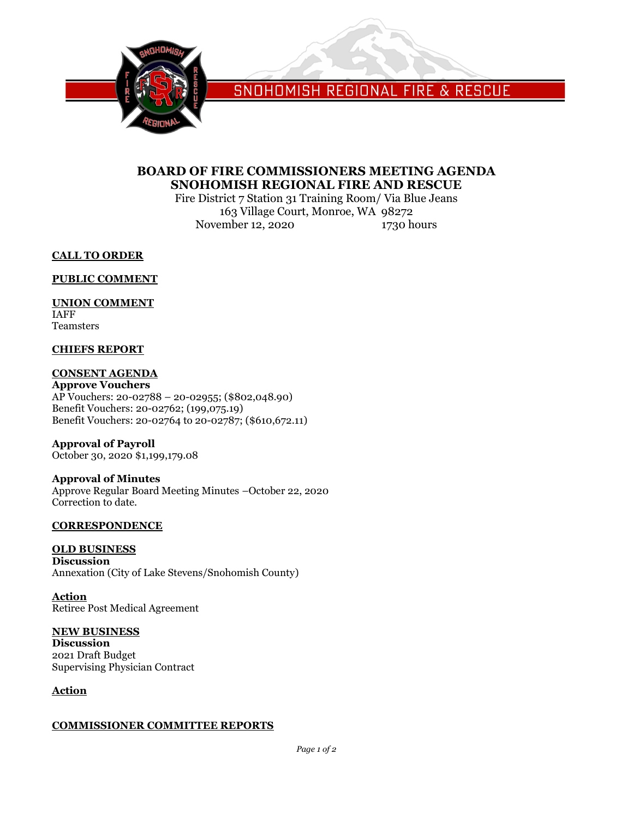

SNOHOMISH REGIONAL FIRE & RESCUE

# **BOARD OF FIRE COMMISSIONERS MEETING AGENDA SNOHOMISH REGIONAL FIRE AND RESCUE**

Fire District 7 Station 31 Training Room/ Via Blue Jeans 163 Village Court, Monroe, WA 98272 November 12, 2020 1730 hours

**CALL TO ORDER**

**PUBLIC COMMENT**

## **UNION COMMENT**

IAFF Teamsters

### **CHIEFS REPORT**

# **CONSENT AGENDA**

**Approve Vouchers** AP Vouchers: 20-02788 – 20-02955; (\$802,048.90) Benefit Vouchers: 20-02762; (199,075.19) Benefit Vouchers: 20-02764 to 20-02787; (\$610,672.11)

**Approval of Payroll** October 30, 2020 \$1,199,179.08

### **Approval of Minutes** Approve Regular Board Meeting Minutes –October 22, 2020 Correction to date.

### **CORRESPONDENCE**

# **OLD BUSINESS**

**Discussion** Annexation (City of Lake Stevens/Snohomish County)

**Action** Retiree Post Medical Agreement

### **NEW BUSINESS**

**Discussion** 2021 Draft Budget Supervising Physician Contract

### **Action**

### **COMMISSIONER COMMITTEE REPORTS**